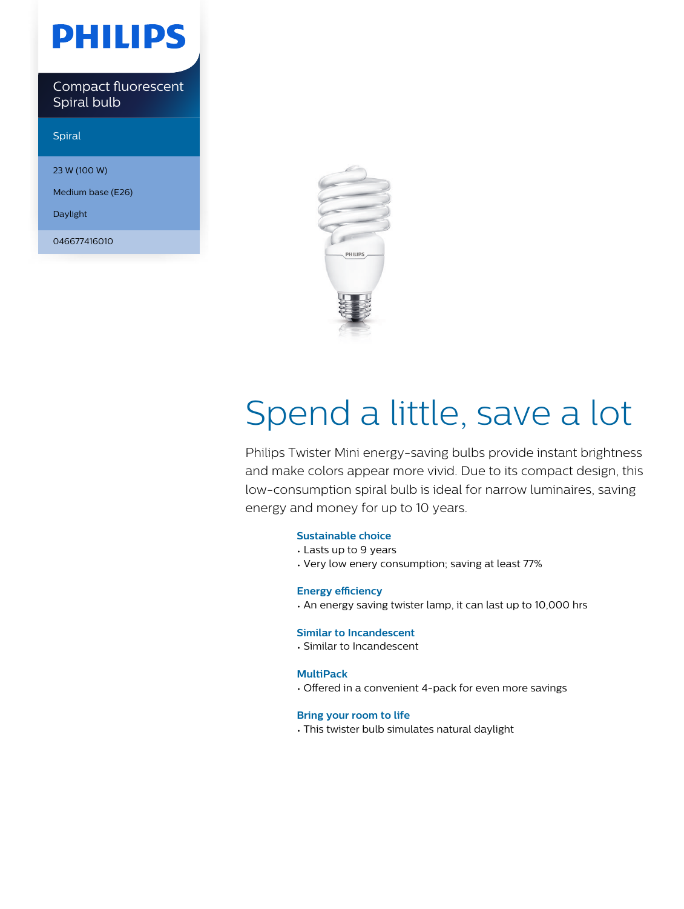# **PHILIPS**

Compact fluorescent Spiral bulb

Spiral

23 W (100 W)

Medium base (E26)

Daylight

046677416010



# Spend a little, save a lot

Philips Twister Mini energy-saving bulbs provide instant brightness and make colors appear more vivid. Due to its compact design, this low-consumption spiral bulb is ideal for narrow luminaires, saving energy and money for up to 10 years.

#### **Sustainable choice**

- Lasts up to 9 years
- Very low enery consumption; saving at least 77%

#### **Energy efficiency**

• An energy saving twister lamp, it can last up to 10,000 hrs

#### **Similar to Incandescent**

• Similar to Incandescent

#### **MultiPack**

• Offered in a convenient 4-pack for even more savings

#### **Bring your room to life**

• This twister bulb simulates natural daylight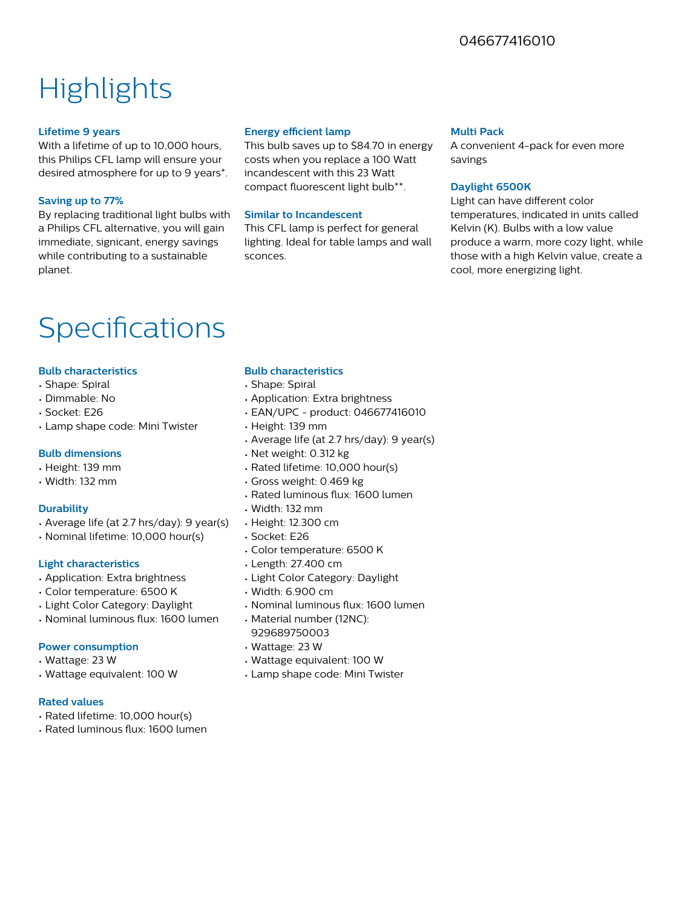### 046677416010

## **Highlights**

#### **Lifetime 9 years**

With a lifetime of up to 10,000 hours, this Philips CFL lamp will ensure your desired atmosphere for up to 9 years\*.

#### **Saving up to 77%**

By replacing traditional light bulbs with a Philips CFL alternative, you will gain immediate, signicant, energy savings while contributing to a sustainable planet.

#### **Energy efficient lamp**

This bulb saves up to \$84.70 in energy costs when you replace a 100 Watt incandescent with this 23 Watt compact fluorescent light bulb\*\*.

#### **Similar to Incandescent**

This CFL lamp is perfect for general lighting. Ideal for table lamps and wall sconces.

#### **Multi Pack**

A convenient 4-pack for even more savings

#### **Daylight 6500K**

Light can have different color temperatures, indicated in units called Kelvin (K). Bulbs with a low value produce a warm, more cozy light, while those with a high Kelvin value, create a cool, more energizing light.

### Specifications

#### **Bulb characteristics**

- Shape: Spiral
- Dimmable: No
- Socket: E26
- Lamp shape code: Mini Twister

#### **Bulb dimensions**

#### • Height: 139 mm

• Width: 132 mm

#### **Durability**

- Average life (at 2.7 hrs/day): 9 year(s)
- Nominal lifetime: 10,000 hour(s)

#### **Light characteristics**

- Application: Extra brightness
- Color temperature: 6500 K
- Light Color Category: Daylight
- Nominal luminous flux: 1600 lumen

#### **Power consumption**

- Wattage: 23 W
- Wattage equivalent: 100 W

#### **Rated values**

- Rated lifetime: 10,000 hour(s)
- Rated luminous flux: 1600 lumen

#### **Bulb characteristics**

- Shape: Spiral
- Application: Extra brightness
- EAN/UPC product: 046677416010
- Height: 139 mm
- Average life (at 2.7 hrs/day): 9 year(s)
- Net weight: 0.312 kg
- Rated lifetime: 10,000 hour(s)
- Gross weight: 0.469 kg
- Rated luminous flux: 1600 lumen
- Width: 132 mm
- Height: 12.300 cm
- Socket: E26
- Color temperature: 6500 K
- Length: 27.400 cm
- Light Color Category: Daylight
- Width: 6.900 cm
- Nominal luminous flux: 1600 lumen
- Material number (12NC): 929689750003
- Wattage: 23 W
- Wattage equivalent: 100 W
- Lamp shape code: Mini Twister